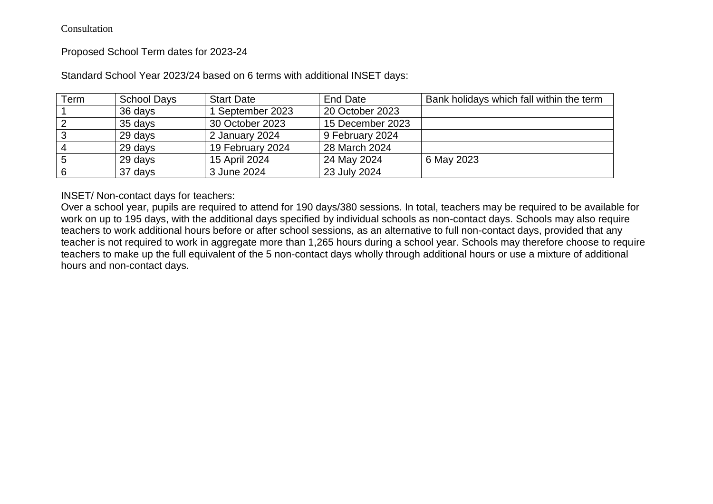Consultation

Proposed School Term dates for 2023-24

| Term | <b>School Days</b> | <b>Start Date</b> | End Date         | Bank holidays which fall within the term |
|------|--------------------|-------------------|------------------|------------------------------------------|
|      | 36 days            | 1 September 2023  | 20 October 2023  |                                          |
|      | 35 days            | 30 October 2023   | 15 December 2023 |                                          |
| C۰   | 29 days            | 2 January 2024    | 9 February 2024  |                                          |
|      | 29 days            | 19 February 2024  | 28 March 2024    |                                          |
| 5    | 29 days            | 15 April 2024     | 24 May 2024      | 6 May 2023                               |
| 6    | 37 days            | 3 June 2024       | 23 July 2024     |                                          |

Standard School Year 2023/24 based on 6 terms with additional INSET days:

INSET/ Non-contact days for teachers:

Over a school year, pupils are required to attend for 190 days/380 sessions. In total, teachers may be required to be available for work on up to 195 days, with the additional days specified by individual schools as non-contact days. Schools may also require teachers to work additional hours before or after school sessions, as an alternative to full non-contact days, provided that any teacher is not required to work in aggregate more than 1,265 hours during a school year. Schools may therefore choose to require teachers to make up the full equivalent of the 5 non-contact days wholly through additional hours or use a mixture of additional hours and non-contact days.